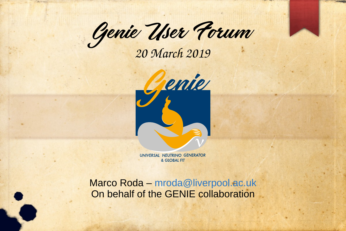Genie User Forum

*20 March 2019*



UNIVERSAL NEUTRINO GENERATOR & GLOBAL FIT

Marco Roda – [mroda@liverpool.ac.uk](mailto:mroda@liverpool.ac.uk) On behalf of the GENIE collaboration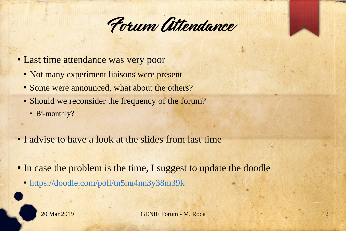

- Last time attendance was very poor
	- Not many experiment liaisons were present
	- Some were announced, what about the others?
	- Should we reconsider the frequency of the forum?
		- Bi-monthly?
- I advise to have a look at the slides from last time
- In case the problem is the time, I suggest to update the doodle
	- <https://doodle.com/poll/tn5nu4nn3y38m39k>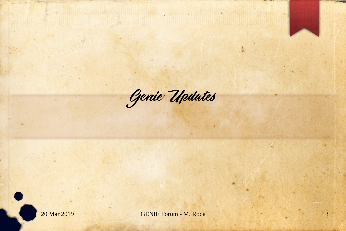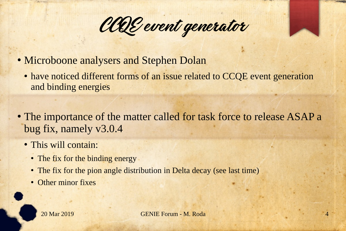CCQE event generator

- Microboone analysers and Stephen Dolan
	- have noticed different forms of an issue related to CCQE event generation and binding energies
- The importance of the matter called for task force to release ASAP a bug fix, namely v3.0.4
	- This will contain:
		- The fix for the binding energy
		- The fix for the pion angle distribution in Delta decay (see last time)
		- Other minor fixes

20 Mar 2019 GENIE Forum - M. Roda 4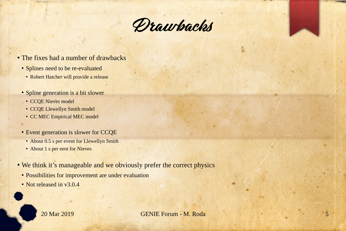

- The fixes had a number of drawbacks
	- Splines need to be re-evaluated
		- Robert Hatcher will provide a release
	- Spline generation is a bit slower
		- CCQE Nieves model
		- CCQE Llewellyn Smith model
		- CC MEC Empirical MEC model
	- Event generation is slower for CCQE
		- About 0.5 s per event for Llewellyn Smith
		- About 1 s per eent for Nieves
- We think it's manageable and we obviously prefer the correct physics
	- Possibilities for improvement are under evaluation
	- Not released in v3.0.4